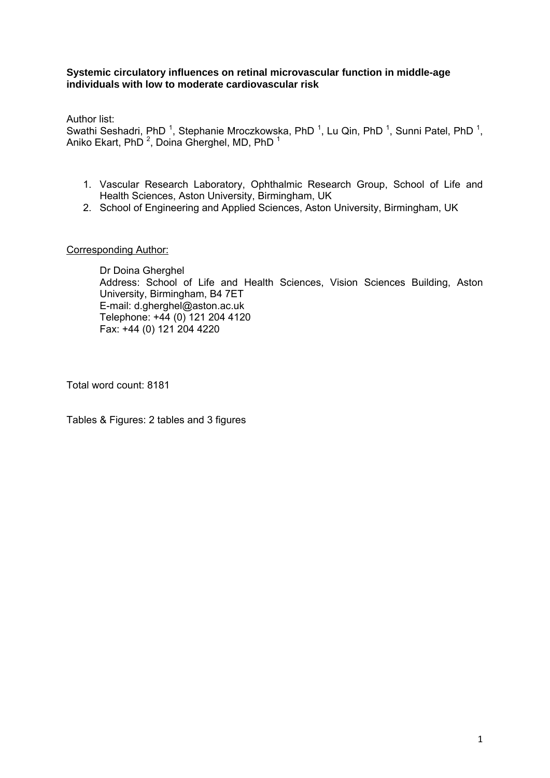### **Systemic circulatory influences on retinal microvascular function in middle-age individuals with low to moderate cardiovascular risk**

Author list:

Swathi Seshadri, PhD<sup>1</sup>, Stephanie Mroczkowska, PhD<sup>1</sup>, Lu Qin, PhD<sup>1</sup>, Sunni Patel, PhD<sup>1</sup>, Aniko Ekart, PhD  $^2$ , Doina Gherghel, MD, PhD  $^1$ 

- 1. Vascular Research Laboratory, Ophthalmic Research Group, School of Life and Health Sciences, Aston University, Birmingham, UK
- 2. School of Engineering and Applied Sciences, Aston University, Birmingham, UK

### Corresponding Author:

Dr Doina Gherghel Address: School of Life and Health Sciences, Vision Sciences Building, Aston University, Birmingham, B4 7ET E-mail: d.gherghel@aston.ac.uk Telephone: +44 (0) 121 204 4120 Fax: +44 (0) 121 204 4220

Total word count: 8181

Tables & Figures: 2 tables and 3 figures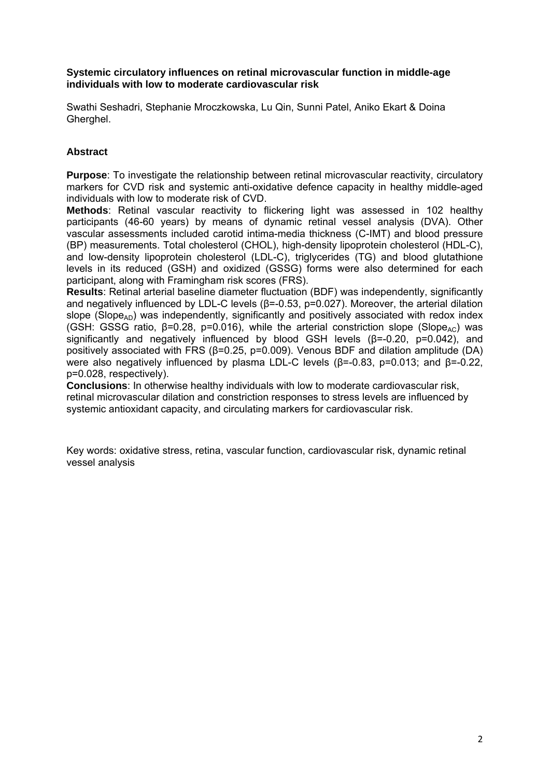### **Systemic circulatory influences on retinal microvascular function in middle-age individuals with low to moderate cardiovascular risk**

Swathi Seshadri, Stephanie Mroczkowska, Lu Qin, Sunni Patel, Aniko Ekart & Doina Gherghel.

## **Abstract**

**Purpose**: To investigate the relationship between retinal microvascular reactivity, circulatory markers for CVD risk and systemic anti-oxidative defence capacity in healthy middle-aged individuals with low to moderate risk of CVD.

**Methods**: Retinal vascular reactivity to flickering light was assessed in 102 healthy participants (46-60 years) by means of dynamic retinal vessel analysis (DVA). Other vascular assessments included carotid intima-media thickness (C-IMT) and blood pressure (BP) measurements. Total cholesterol (CHOL), high-density lipoprotein cholesterol (HDL-C), and low-density lipoprotein cholesterol (LDL-C), triglycerides (TG) and blood glutathione levels in its reduced (GSH) and oxidized (GSSG) forms were also determined for each participant, along with Framingham risk scores (FRS).

**Results**: Retinal arterial baseline diameter fluctuation (BDF) was independently, significantly and negatively influenced by LDL-C levels (β=-0.53, p=0.027). Moreover, the arterial dilation slope (Slope<sub>AD</sub>) was independently, significantly and positively associated with redox index (GSH: GSSG ratio,  $\beta$ =0.28, p=0.016), while the arterial constriction slope (Slope<sub>AC</sub>) was significantly and negatively influenced by blood GSH levels (β=-0.20, p=0.042), and positively associated with FRS (β=0.25, p=0.009). Venous BDF and dilation amplitude (DA) were also negatively influenced by plasma LDL-C levels (β=-0.83, p=0.013; and β=-0.22, p=0.028, respectively).

**Conclusions**: In otherwise healthy individuals with low to moderate cardiovascular risk, retinal microvascular dilation and constriction responses to stress levels are influenced by systemic antioxidant capacity, and circulating markers for cardiovascular risk.

Key words: oxidative stress, retina, vascular function, cardiovascular risk, dynamic retinal vessel analysis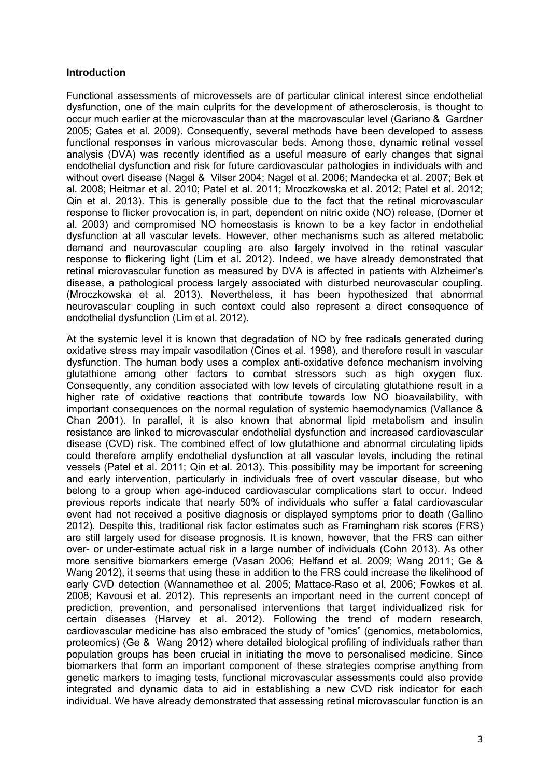### **Introduction**

Functional assessments of microvessels are of particular clinical interest since endothelial dysfunction, one of the main culprits for the development of atherosclerosis, is thought to occur much earlier at the microvascular than at the macrovascular level (Gariano & Gardner 2005; Gates et al. 2009). Consequently, several methods have been developed to assess functional responses in various microvascular beds. Among those, dynamic retinal vessel analysis (DVA) was recently identified as a useful measure of early changes that signal endothelial dysfunction and risk for future cardiovascular pathologies in individuals with and without overt disease (Nagel & Vilser 2004; Nagel et al. 2006; Mandecka et al. 2007; Bek et al. 2008; Heitmar et al. 2010; Patel et al. 2011; Mroczkowska et al. 2012; Patel et al. 2012; Qin et al. 2013). This is generally possible due to the fact that the retinal microvascular response to flicker provocation is, in part, dependent on nitric oxide (NO) release, (Dorner et al. 2003) and compromised NO homeostasis is known to be a key factor in endothelial dysfunction at all vascular levels. However, other mechanisms such as altered metabolic demand and neurovascular coupling are also largely involved in the retinal vascular response to flickering light (Lim et al. 2012). Indeed, we have already demonstrated that retinal microvascular function as measured by DVA is affected in patients with Alzheimer's disease, a pathological process largely associated with disturbed neurovascular coupling. (Mroczkowska et al. 2013). Nevertheless, it has been hypothesized that abnormal neurovascular coupling in such context could also represent a direct consequence of endothelial dysfunction (Lim et al. 2012).

At the systemic level it is known that degradation of NO by free radicals generated during oxidative stress may impair vasodilation (Cines et al. 1998), and therefore result in vascular dysfunction. The human body uses a complex anti-oxidative defence mechanism involving glutathione among other factors to combat stressors such as high oxygen flux. Consequently, any condition associated with low levels of circulating glutathione result in a higher rate of oxidative reactions that contribute towards low NO bioavailability, with important consequences on the normal regulation of systemic haemodynamics (Vallance & Chan 2001). In parallel, it is also known that abnormal lipid metabolism and insulin resistance are linked to microvascular endothelial dysfunction and increased cardiovascular disease (CVD) risk. The combined effect of low glutathione and abnormal circulating lipids could therefore amplify endothelial dysfunction at all vascular levels, including the retinal vessels (Patel et al. 2011; Qin et al. 2013). This possibility may be important for screening and early intervention, particularly in individuals free of overt vascular disease, but who belong to a group when age-induced cardiovascular complications start to occur. Indeed previous reports indicate that nearly 50% of individuals who suffer a fatal cardiovascular event had not received a positive diagnosis or displayed symptoms prior to death (Gallino 2012). Despite this, traditional risk factor estimates such as Framingham risk scores (FRS) are still largely used for disease prognosis. It is known, however, that the FRS can either over- or under-estimate actual risk in a large number of individuals (Cohn 2013). As other more sensitive biomarkers emerge (Vasan 2006; Helfand et al. 2009; Wang 2011; Ge & Wang 2012), it seems that using these in addition to the FRS could increase the likelihood of early CVD detection (Wannamethee et al. 2005; Mattace-Raso et al. 2006; Fowkes et al. 2008; Kavousi et al. 2012). This represents an important need in the current concept of prediction, prevention, and personalised interventions that target individualized risk for certain diseases (Harvey et al. 2012). Following the trend of modern research, cardiovascular medicine has also embraced the study of "omics" (genomics, metabolomics, proteomics) (Ge & Wang 2012) where detailed biological profiling of individuals rather than population groups has been crucial in initiating the move to personalised medicine. Since biomarkers that form an important component of these strategies comprise anything from genetic markers to imaging tests, functional microvascular assessments could also provide integrated and dynamic data to aid in establishing a new CVD risk indicator for each individual. We have already demonstrated that assessing retinal microvascular function is an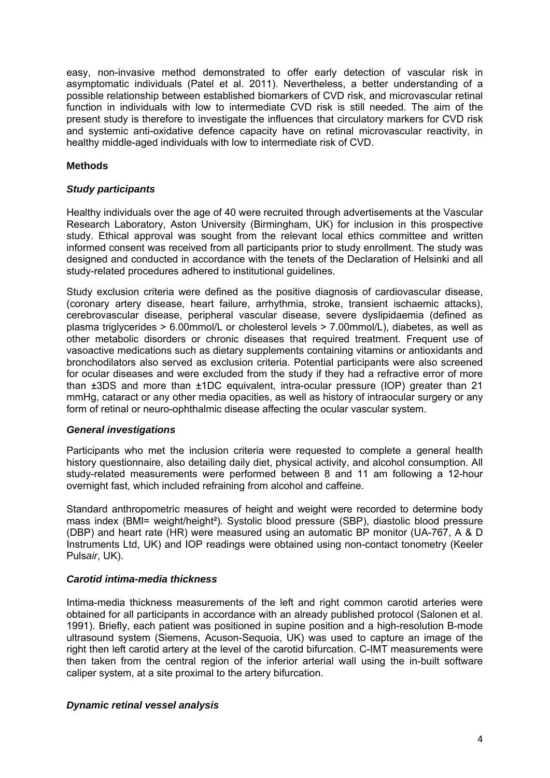easy, non-invasive method demonstrated to offer early detection of vascular risk in asymptomatic individuals (Patel et al. 2011). Nevertheless, a better understanding of a possible relationship between established biomarkers of CVD risk, and microvascular retinal function in individuals with low to intermediate CVD risk is still needed. The aim of the present study is therefore to investigate the influences that circulatory markers for CVD risk and systemic anti-oxidative defence capacity have on retinal microvascular reactivity, in healthy middle-aged individuals with low to intermediate risk of CVD.

### **Methods**

### *Study participants*

Healthy individuals over the age of 40 were recruited through advertisements at the Vascular Research Laboratory, Aston University (Birmingham, UK) for inclusion in this prospective study. Ethical approval was sought from the relevant local ethics committee and written informed consent was received from all participants prior to study enrollment. The study was designed and conducted in accordance with the tenets of the Declaration of Helsinki and all study-related procedures adhered to institutional guidelines.

Study exclusion criteria were defined as the positive diagnosis of cardiovascular disease, (coronary artery disease, heart failure, arrhythmia, stroke, transient ischaemic attacks), cerebrovascular disease, peripheral vascular disease, severe dyslipidaemia (defined as plasma triglycerides > 6.00mmol/L or cholesterol levels > 7.00mmol/L), diabetes, as well as other metabolic disorders or chronic diseases that required treatment. Frequent use of vasoactive medications such as dietary supplements containing vitamins or antioxidants and bronchodilators also served as exclusion criteria. Potential participants were also screened for ocular diseases and were excluded from the study if they had a refractive error of more than ±3DS and more than ±1DC equivalent, intra-ocular pressure (IOP) greater than 21 mmHg, cataract or any other media opacities, as well as history of intraocular surgery or any form of retinal or neuro-ophthalmic disease affecting the ocular vascular system.

#### *General investigations*

Participants who met the inclusion criteria were requested to complete a general health history questionnaire, also detailing daily diet, physical activity, and alcohol consumption. All study-related measurements were performed between 8 and 11 am following a 12-hour overnight fast, which included refraining from alcohol and caffeine.

Standard anthropometric measures of height and weight were recorded to determine body mass index (BMI= weight/height<sup>2</sup>). Systolic blood pressure (SBP), diastolic blood pressure (DBP) and heart rate (HR) were measured using an automatic BP monitor (UA-767, A & D Instruments Ltd, UK) and IOP readings were obtained using non-contact tonometry (Keeler Puls*air*, UK).

#### *Carotid intima-media thickness*

Intima-media thickness measurements of the left and right common carotid arteries were obtained for all participants in accordance with an already published protocol (Salonen et al. 1991). Briefly, each patient was positioned in supine position and a high-resolution B-mode ultrasound system (Siemens, Acuson-Sequoia, UK) was used to capture an image of the right then left carotid artery at the level of the carotid bifurcation. C-IMT measurements were then taken from the central region of the inferior arterial wall using the in-built software caliper system, at a site proximal to the artery bifurcation.

#### *Dynamic retinal vessel analysis*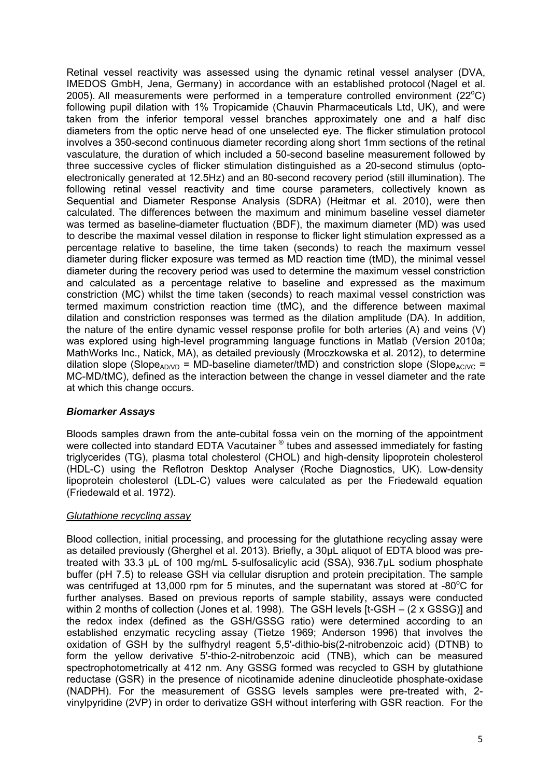Retinal vessel reactivity was assessed using the dynamic retinal vessel analyser (DVA, IMEDOS GmbH, Jena, Germany) in accordance with an established protocol (Nagel et al. 2005). All measurements were performed in a temperature controlled environment  $(22^{\circ}C)$ following pupil dilation with 1% Tropicamide (Chauvin Pharmaceuticals Ltd, UK), and were taken from the inferior temporal vessel branches approximately one and a half disc diameters from the optic nerve head of one unselected eye. The flicker stimulation protocol involves a 350-second continuous diameter recording along short 1mm sections of the retinal vasculature, the duration of which included a 50-second baseline measurement followed by three successive cycles of flicker stimulation distinguished as a 20-second stimulus (optoelectronically generated at 12.5Hz) and an 80-second recovery period (still illumination). The following retinal vessel reactivity and time course parameters, collectively known as Sequential and Diameter Response Analysis (SDRA) (Heitmar et al. 2010), were then calculated. The differences between the maximum and minimum baseline vessel diameter was termed as baseline-diameter fluctuation (BDF), the maximum diameter (MD) was used to describe the maximal vessel dilation in response to flicker light stimulation expressed as a percentage relative to baseline, the time taken (seconds) to reach the maximum vessel diameter during flicker exposure was termed as MD reaction time (tMD), the minimal vessel diameter during the recovery period was used to determine the maximum vessel constriction and calculated as a percentage relative to baseline and expressed as the maximum constriction (MC) whilst the time taken (seconds) to reach maximal vessel constriction was termed maximum constriction reaction time (tMC), and the difference between maximal dilation and constriction responses was termed as the dilation amplitude (DA). In addition, the nature of the entire dynamic vessel response profile for both arteries (A) and veins (V) was explored using high-level programming language functions in Matlab (Version 2010a; MathWorks Inc., Natick, MA), as detailed previously (Mroczkowska et al. 2012), to determine dilation slope (Slope<sub>AD/VD</sub> = MD-baseline diameter/tMD) and constriction slope (Slope<sub>AC/VC</sub> = MC-MD/tMC), defined as the interaction between the change in vessel diameter and the rate at which this change occurs.

# *Biomarker Assays*

Bloods samples drawn from the ante-cubital fossa vein on the morning of the appointment were collected into standard EDTA Vacutainer ® tubes and assessed immediately for fasting triglycerides (TG), plasma total cholesterol (CHOL) and high-density lipoprotein cholesterol (HDL-C) using the Reflotron Desktop Analyser (Roche Diagnostics, UK). Low-density lipoprotein cholesterol (LDL-C) values were calculated as per the Friedewald equation (Friedewald et al. 1972).

## *Glutathione recycling assay*

Blood collection, initial processing, and processing for the glutathione recycling assay were as detailed previously (Gherghel et al. 2013). Briefly, a 30µL aliquot of EDTA blood was pretreated with 33.3 μL of 100 mg/mL 5-sulfosalicylic acid (SSA), 936.7μL sodium phosphate buffer (pH 7.5) to release GSH via cellular disruption and protein precipitation. The sample was centrifuged at 13,000 rpm for 5 minutes, and the supernatant was stored at -80 $^{\circ}$ C for further analyses. Based on previous reports of sample stability, assays were conducted within 2 months of collection (Jones et al. 1998). The GSH levels [t-GSH – (2 x GSSG)] and the redox index (defined as the GSH/GSSG ratio) were determined according to an established enzymatic recycling assay (Tietze 1969; Anderson 1996) that involves the oxidation of GSH by the sulfhydryl reagent 5,5'-dithio-bis(2-nitrobenzoic acid) (DTNB) to form the yellow derivative 5'-thio-2-nitrobenzoic acid (TNB), which can be measured spectrophotometrically at 412 nm. Any GSSG formed was recycled to GSH by glutathione reductase (GSR) in the presence of nicotinamide adenine dinucleotide phosphate-oxidase (NADPH). For the measurement of GSSG levels samples were pre-treated with, 2 vinylpyridine (2VP) in order to derivatize GSH without interfering with GSR reaction. For the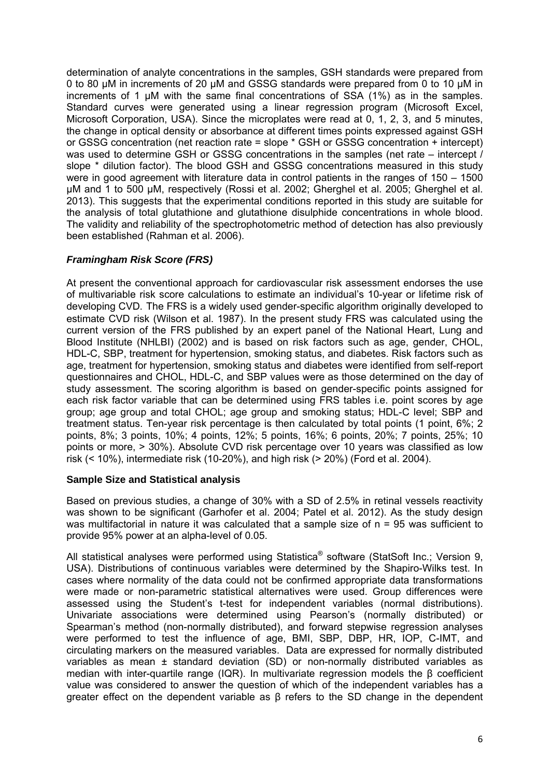determination of analyte concentrations in the samples, GSH standards were prepared from 0 to 80 µM in increments of 20 µM and GSSG standards were prepared from 0 to 10 µM in increments of 1 µM with the same final concentrations of SSA (1%) as in the samples. Standard curves were generated using a linear regression program (Microsoft Excel, Microsoft Corporation, USA). Since the microplates were read at 0, 1, 2, 3, and 5 minutes, the change in optical density or absorbance at different times points expressed against GSH or GSSG concentration (net reaction rate = slope \* GSH or GSSG concentration + intercept) was used to determine GSH or GSSG concentrations in the samples (net rate – intercept / slope \* dilution factor). The blood GSH and GSSG concentrations measured in this study were in good agreement with literature data in control patients in the ranges of 150 – 1500 µM and 1 to 500 µM, respectively (Rossi et al. 2002; Gherghel et al. 2005; Gherghel et al. 2013). This suggests that the experimental conditions reported in this study are suitable for the analysis of total glutathione and glutathione disulphide concentrations in whole blood. The validity and reliability of the spectrophotometric method of detection has also previously been established (Rahman et al. 2006).

# *Framingham Risk Score (FRS)*

At present the conventional approach for cardiovascular risk assessment endorses the use of multivariable risk score calculations to estimate an individual's 10-year or lifetime risk of developing CVD. The FRS is a widely used gender-specific algorithm originally developed to estimate CVD risk (Wilson et al. 1987). In the present study FRS was calculated using the current version of the FRS published by an expert panel of the National Heart, Lung and Blood Institute (NHLBI) (2002) and is based on risk factors such as age, gender, CHOL, HDL-C, SBP, treatment for hypertension, smoking status, and diabetes. Risk factors such as age, treatment for hypertension, smoking status and diabetes were identified from self-report questionnaires and CHOL, HDL-C, and SBP values were as those determined on the day of study assessment. The scoring algorithm is based on gender-specific points assigned for each risk factor variable that can be determined using FRS tables i.e. point scores by age group; age group and total CHOL; age group and smoking status; HDL-C level; SBP and treatment status. Ten-year risk percentage is then calculated by total points (1 point, 6%; 2 points, 8%; 3 points, 10%; 4 points, 12%; 5 points, 16%; 6 points, 20%; 7 points, 25%; 10 points or more, > 30%). Absolute CVD risk percentage over 10 years was classified as low risk (< 10%), intermediate risk (10-20%), and high risk (> 20%) (Ford et al. 2004).

## **Sample Size and Statistical analysis**

Based on previous studies, a change of 30% with a SD of 2.5% in retinal vessels reactivity was shown to be significant (Garhofer et al. 2004; Patel et al. 2012). As the study design was multifactorial in nature it was calculated that a sample size of n = 95 was sufficient to provide 95% power at an alpha-level of 0.05.

All statistical analyses were performed using Statistica<sup>®</sup> software (StatSoft Inc.; Version 9, USA). Distributions of continuous variables were determined by the Shapiro-Wilks test. In cases where normality of the data could not be confirmed appropriate data transformations were made or non-parametric statistical alternatives were used. Group differences were assessed using the Student's t-test for independent variables (normal distributions). Univariate associations were determined using Pearson's (normally distributed) or Spearman's method (non-normally distributed), and forward stepwise regression analyses were performed to test the influence of age, BMI, SBP, DBP, HR, IOP, C-IMT, and circulating markers on the measured variables. Data are expressed for normally distributed variables as mean ± standard deviation (SD) or non-normally distributed variables as median with inter-quartile range (IQR). In multivariate regression models the β coefficient value was considered to answer the question of which of the independent variables has a greater effect on the dependent variable as β refers to the SD change in the dependent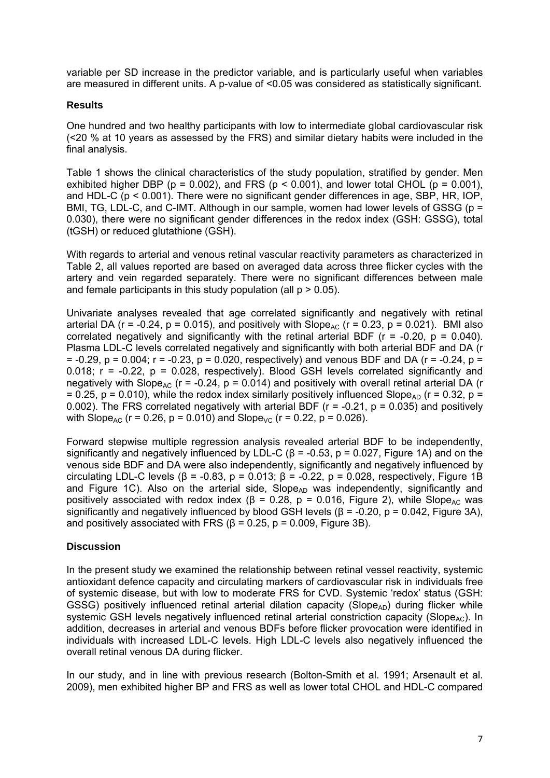variable per SD increase in the predictor variable, and is particularly useful when variables are measured in different units. A p-value of <0.05 was considered as statistically significant.

## **Results**

One hundred and two healthy participants with low to intermediate global cardiovascular risk (<20 % at 10 years as assessed by the FRS) and similar dietary habits were included in the final analysis.

Table 1 shows the clinical characteristics of the study population, stratified by gender. Men exhibited higher DBP ( $p = 0.002$ ), and FRS ( $p < 0.001$ ), and lower total CHOL ( $p = 0.001$ ), and HDL-C (p < 0.001). There were no significant gender differences in age, SBP, HR, IOP, BMI, TG, LDL-C, and C-IMT. Although in our sample, women had lower levels of GSSG (p = 0.030), there were no significant gender differences in the redox index (GSH: GSSG), total (tGSH) or reduced glutathione (GSH).

With regards to arterial and venous retinal vascular reactivity parameters as characterized in Table 2, all values reported are based on averaged data across three flicker cycles with the artery and vein regarded separately. There were no significant differences between male and female participants in this study population (all  $p > 0.05$ ).

Univariate analyses revealed that age correlated significantly and negatively with retinal arterial DA (r = -0.24, p = 0.015), and positively with Slope<sub>AC</sub> (r = 0.23, p = 0.021). BMI also correlated negatively and significantly with the retinal arterial BDF ( $r = -0.20$ ,  $p = 0.040$ ). Plasma LDL-C levels correlated negatively and significantly with both arterial BDF and DA (r  $= -0.29$ ,  $p = 0.004$ ;  $r = -0.23$ ,  $p = 0.020$ , respectively) and venous BDF and DA ( $r = -0.24$ ,  $p =$ 0.018;  $r = -0.22$ ,  $p = 0.028$ , respectively). Blood GSH levels correlated significantly and negatively with Slope<sub>AC</sub> ( $r = -0.24$ ,  $p = 0.014$ ) and positively with overall retinal arterial DA ( $r = 0.24$ ) = 0.25, p = 0.010), while the redox index similarly positively influenced Slope<sub>AD</sub> (r = 0.32, p = 0.002). The FRS correlated negatively with arterial BDF ( $r = -0.21$ ,  $p = 0.035$ ) and positively with Slope<sub>AC</sub> (r = 0.26, p = 0.010) and Slope<sub>VC</sub> (r = 0.22, p = 0.026).

Forward stepwise multiple regression analysis revealed arterial BDF to be independently, significantly and negatively influenced by LDL-C ( $\beta$  = -0.53, p = 0.027. Figure 1A) and on the venous side BDF and DA were also independently, significantly and negatively influenced by circulating LDL-C levels ( $\beta$  = -0.83, p = 0.013;  $\beta$  = -0.22, p = 0.028, respectively, Figure 1B and Figure 1C). Also on the arterial side,  $Slope_{AD}$  was independently, significantly and positively associated with redox index ( $\beta$  = 0.28, p = 0.016, Figure 2), while Slope<sub>AC</sub> was significantly and negatively influenced by blood GSH levels ( $\beta$  = -0.20, p = 0.042, Figure 3A), and positively associated with FRS ( $\beta$  = 0.25, p = 0.009, Figure 3B).

# **Discussion**

In the present study we examined the relationship between retinal vessel reactivity, systemic antioxidant defence capacity and circulating markers of cardiovascular risk in individuals free of systemic disease, but with low to moderate FRS for CVD. Systemic 'redox' status (GSH: GSSG) positively influenced retinal arterial dilation capacity (Slope<sub>AD</sub>) during flicker while systemic GSH levels negatively influenced retinal arterial constriction capacity (Slope<sub>AC</sub>). In addition, decreases in arterial and venous BDFs before flicker provocation were identified in individuals with increased LDL-C levels. High LDL-C levels also negatively influenced the overall retinal venous DA during flicker.

In our study, and in line with previous research (Bolton-Smith et al. 1991; Arsenault et al. 2009), men exhibited higher BP and FRS as well as lower total CHOL and HDL-C compared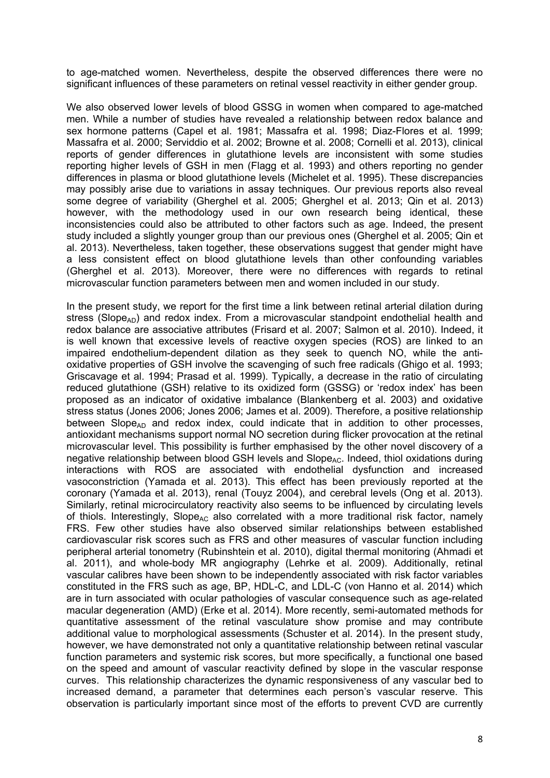to age-matched women. Nevertheless, despite the observed differences there were no significant influences of these parameters on retinal vessel reactivity in either gender group.

We also observed lower levels of blood GSSG in women when compared to age-matched men. While a number of studies have revealed a relationship between redox balance and sex hormone patterns (Capel et al. 1981; Massafra et al. 1998; Diaz-Flores et al. 1999; Massafra et al. 2000; Serviddio et al. 2002; Browne et al. 2008; Cornelli et al. 2013), clinical reports of gender differences in glutathione levels are inconsistent with some studies reporting higher levels of GSH in men (Flagg et al. 1993) and others reporting no gender differences in plasma or blood glutathione levels (Michelet et al. 1995). These discrepancies may possibly arise due to variations in assay techniques. Our previous reports also reveal some degree of variability (Gherghel et al. 2005; Gherghel et al. 2013; Qin et al. 2013) however, with the methodology used in our own research being identical, these inconsistencies could also be attributed to other factors such as age. Indeed, the present study included a slightly younger group than our previous ones (Gherghel et al. 2005; Qin et al. 2013). Nevertheless, taken together, these observations suggest that gender might have a less consistent effect on blood glutathione levels than other confounding variables (Gherghel et al. 2013). Moreover, there were no differences with regards to retinal microvascular function parameters between men and women included in our study.

In the present study, we report for the first time a link between retinal arterial dilation during stress (Slope<sub>AD</sub>) and redox index. From a microvascular standpoint endothelial health and redox balance are associative attributes (Frisard et al. 2007; Salmon et al. 2010). Indeed, it is well known that excessive levels of reactive oxygen species (ROS) are linked to an impaired endothelium-dependent dilation as they seek to quench NO, while the antioxidative properties of GSH involve the scavenging of such free radicals (Ghigo et al. 1993; Griscavage et al. 1994; Prasad et al. 1999). Typically, a decrease in the ratio of circulating reduced glutathione (GSH) relative to its oxidized form (GSSG) or 'redox index' has been proposed as an indicator of oxidative imbalance (Blankenberg et al. 2003) and oxidative stress status (Jones 2006; Jones 2006; James et al. 2009). Therefore, a positive relationship between Slope<sub>AD</sub> and redox index, could indicate that in addition to other processes, antioxidant mechanisms support normal NO secretion during flicker provocation at the retinal microvascular level. This possibility is further emphasised by the other novel discovery of a negative relationship between blood GSH levels and Slope<sub>AC</sub>. Indeed, thiol oxidations during interactions with ROS are associated with endothelial dysfunction and increased vasoconstriction (Yamada et al. 2013). This effect has been previously reported at the coronary (Yamada et al. 2013), renal (Touyz 2004), and cerebral levels (Ong et al. 2013). Similarly, retinal microcirculatory reactivity also seems to be influenced by circulating levels of thiols. Interestingly, Slope<sub>AC</sub> also correlated with a more traditional risk factor, namely FRS. Few other studies have also observed similar relationships between established cardiovascular risk scores such as FRS and other measures of vascular function including peripheral arterial tonometry (Rubinshtein et al. 2010), digital thermal monitoring (Ahmadi et al. 2011), and whole-body MR angiography (Lehrke et al. 2009). Additionally, retinal vascular calibres have been shown to be independently associated with risk factor variables constituted in the FRS such as age, BP, HDL-C, and LDL-C (von Hanno et al. 2014) which are in turn associated with ocular pathologies of vascular consequence such as age-related macular degeneration (AMD) (Erke et al. 2014). More recently, semi-automated methods for quantitative assessment of the retinal vasculature show promise and may contribute additional value to morphological assessments (Schuster et al. 2014). In the present study, however, we have demonstrated not only a quantitative relationship between retinal vascular function parameters and systemic risk scores, but more specifically, a functional one based on the speed and amount of vascular reactivity defined by slope in the vascular response curves. This relationship characterizes the dynamic responsiveness of any vascular bed to increased demand, a parameter that determines each person's vascular reserve. This observation is particularly important since most of the efforts to prevent CVD are currently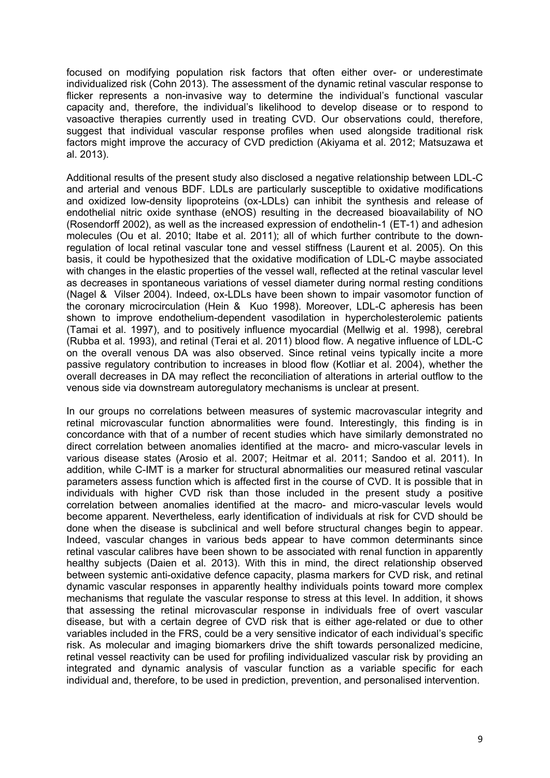focused on modifying population risk factors that often either over- or underestimate individualized risk (Cohn 2013). The assessment of the dynamic retinal vascular response to flicker represents a non-invasive way to determine the individual's functional vascular capacity and, therefore, the individual's likelihood to develop disease or to respond to vasoactive therapies currently used in treating CVD. Our observations could, therefore, suggest that individual vascular response profiles when used alongside traditional risk factors might improve the accuracy of CVD prediction (Akiyama et al. 2012; Matsuzawa et al. 2013).

Additional results of the present study also disclosed a negative relationship between LDL-C and arterial and venous BDF. LDLs are particularly susceptible to oxidative modifications and oxidized low-density lipoproteins (ox-LDLs) can inhibit the synthesis and release of endothelial nitric oxide synthase (eNOS) resulting in the decreased bioavailability of NO (Rosendorff 2002), as well as the increased expression of endothelin-1 (ET-1) and adhesion molecules (Ou et al. 2010; Itabe et al. 2011); all of which further contribute to the downregulation of local retinal vascular tone and vessel stiffness (Laurent et al. 2005). On this basis, it could be hypothesized that the oxidative modification of LDL-C maybe associated with changes in the elastic properties of the vessel wall, reflected at the retinal vascular level as decreases in spontaneous variations of vessel diameter during normal resting conditions (Nagel & Vilser 2004). Indeed, ox-LDLs have been shown to impair vasomotor function of the coronary microcirculation (Hein & Kuo 1998). Moreover, LDL-C apheresis has been shown to improve endothelium-dependent vasodilation in hypercholesterolemic patients (Tamai et al. 1997), and to positively influence myocardial (Mellwig et al. 1998), cerebral (Rubba et al. 1993), and retinal (Terai et al. 2011) blood flow. A negative influence of LDL-C on the overall venous DA was also observed. Since retinal veins typically incite a more passive regulatory contribution to increases in blood flow (Kotliar et al. 2004), whether the overall decreases in DA may reflect the reconciliation of alterations in arterial outflow to the venous side via downstream autoregulatory mechanisms is unclear at present.

In our groups no correlations between measures of systemic macrovascular integrity and retinal microvascular function abnormalities were found. Interestingly, this finding is in concordance with that of a number of recent studies which have similarly demonstrated no direct correlation between anomalies identified at the macro- and micro-vascular levels in various disease states (Arosio et al. 2007; Heitmar et al. 2011; Sandoo et al. 2011). In addition, while C-IMT is a marker for structural abnormalities our measured retinal vascular parameters assess function which is affected first in the course of CVD. It is possible that in individuals with higher CVD risk than those included in the present study a positive correlation between anomalies identified at the macro- and micro-vascular levels would become apparent. Nevertheless, early identification of individuals at risk for CVD should be done when the disease is subclinical and well before structural changes begin to appear. Indeed, vascular changes in various beds appear to have common determinants since retinal vascular calibres have been shown to be associated with renal function in apparently healthy subjects (Daien et al. 2013). With this in mind, the direct relationship observed between systemic anti-oxidative defence capacity, plasma markers for CVD risk, and retinal dynamic vascular responses in apparently healthy individuals points toward more complex mechanisms that regulate the vascular response to stress at this level. In addition, it shows that assessing the retinal microvascular response in individuals free of overt vascular disease, but with a certain degree of CVD risk that is either age-related or due to other variables included in the FRS, could be a very sensitive indicator of each individual's specific risk. As molecular and imaging biomarkers drive the shift towards personalized medicine, retinal vessel reactivity can be used for profiling individualized vascular risk by providing an integrated and dynamic analysis of vascular function as a variable specific for each individual and, therefore, to be used in prediction, prevention, and personalised intervention.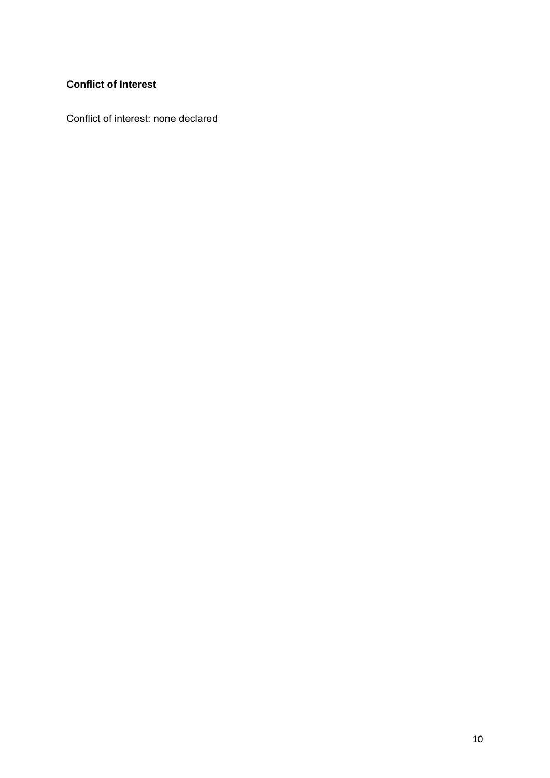# **Conflict of Interest**

Conflict of interest: none declared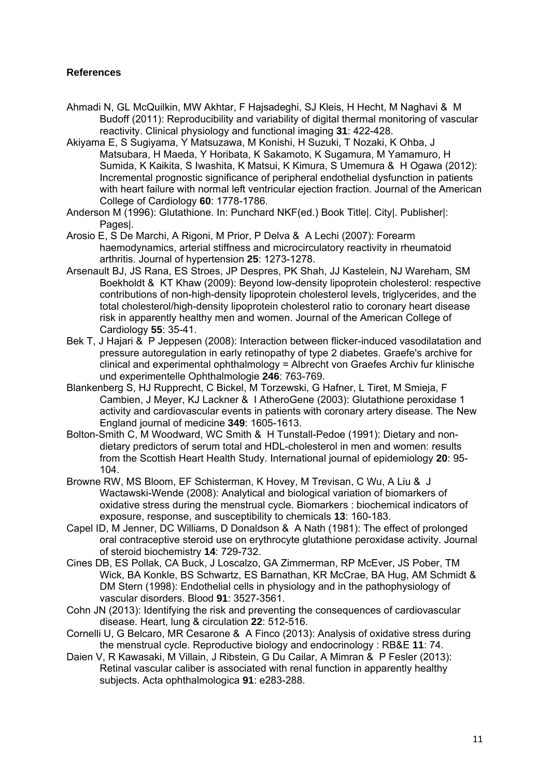## **References**

- Ahmadi N, GL McQuilkin, MW Akhtar, F Hajsadeghi, SJ Kleis, H Hecht, M Naghavi & M Budoff (2011): Reproducibility and variability of digital thermal monitoring of vascular reactivity. Clinical physiology and functional imaging **31**: 422-428.
- Akiyama E, S Sugiyama, Y Matsuzawa, M Konishi, H Suzuki, T Nozaki, K Ohba, J Matsubara, H Maeda, Y Horibata, K Sakamoto, K Sugamura, M Yamamuro, H Sumida, K Kaikita, S Iwashita, K Matsui, K Kimura, S Umemura & H Ogawa (2012): Incremental prognostic significance of peripheral endothelial dysfunction in patients with heart failure with normal left ventricular ejection fraction. Journal of the American College of Cardiology **60**: 1778-1786.
- Anderson M (1996): Glutathione. In: Punchard NKF(ed.) Book Title|. City|. Publisher|: Pages|.
- Arosio E, S De Marchi, A Rigoni, M Prior, P Delva & A Lechi (2007): Forearm haemodynamics, arterial stiffness and microcirculatory reactivity in rheumatoid arthritis. Journal of hypertension **25**: 1273-1278.
- Arsenault BJ, JS Rana, ES Stroes, JP Despres, PK Shah, JJ Kastelein, NJ Wareham, SM Boekholdt & KT Khaw (2009): Beyond low-density lipoprotein cholesterol: respective contributions of non-high-density lipoprotein cholesterol levels, triglycerides, and the total cholesterol/high-density lipoprotein cholesterol ratio to coronary heart disease risk in apparently healthy men and women. Journal of the American College of Cardiology **55**: 35-41.
- Bek T, J Hajari & P Jeppesen (2008): Interaction between flicker-induced vasodilatation and pressure autoregulation in early retinopathy of type 2 diabetes. Graefe's archive for clinical and experimental ophthalmology = Albrecht von Graefes Archiv fur klinische und experimentelle Ophthalmologie **246**: 763-769.
- Blankenberg S, HJ Rupprecht, C Bickel, M Torzewski, G Hafner, L Tiret, M Smieja, F Cambien, J Meyer, KJ Lackner & I AtheroGene (2003): Glutathione peroxidase 1 activity and cardiovascular events in patients with coronary artery disease. The New England journal of medicine **349**: 1605-1613.
- Bolton-Smith C, M Woodward, WC Smith & H Tunstall-Pedoe (1991): Dietary and nondietary predictors of serum total and HDL-cholesterol in men and women: results from the Scottish Heart Health Study. International journal of epidemiology **20**: 95- 104.
- Browne RW, MS Bloom, EF Schisterman, K Hovey, M Trevisan, C Wu, A Liu & J Wactawski-Wende (2008): Analytical and biological variation of biomarkers of oxidative stress during the menstrual cycle. Biomarkers : biochemical indicators of exposure, response, and susceptibility to chemicals **13**: 160-183.
- Capel ID, M Jenner, DC Williams, D Donaldson & A Nath (1981): The effect of prolonged oral contraceptive steroid use on erythrocyte glutathione peroxidase activity. Journal of steroid biochemistry **14**: 729-732.
- Cines DB, ES Pollak, CA Buck, J Loscalzo, GA Zimmerman, RP McEver, JS Pober, TM Wick, BA Konkle, BS Schwartz, ES Barnathan, KR McCrae, BA Hug, AM Schmidt & DM Stern (1998): Endothelial cells in physiology and in the pathophysiology of vascular disorders. Blood **91**: 3527-3561.
- Cohn JN (2013): Identifying the risk and preventing the consequences of cardiovascular disease. Heart, lung & circulation **22**: 512-516.
- Cornelli U, G Belcaro, MR Cesarone & A Finco (2013): Analysis of oxidative stress during the menstrual cycle. Reproductive biology and endocrinology : RB&E **11**: 74.
- Daien V, R Kawasaki, M Villain, J Ribstein, G Du Cailar, A Mimran & P Fesler (2013): Retinal vascular caliber is associated with renal function in apparently healthy subjects. Acta ophthalmologica **91**: e283-288.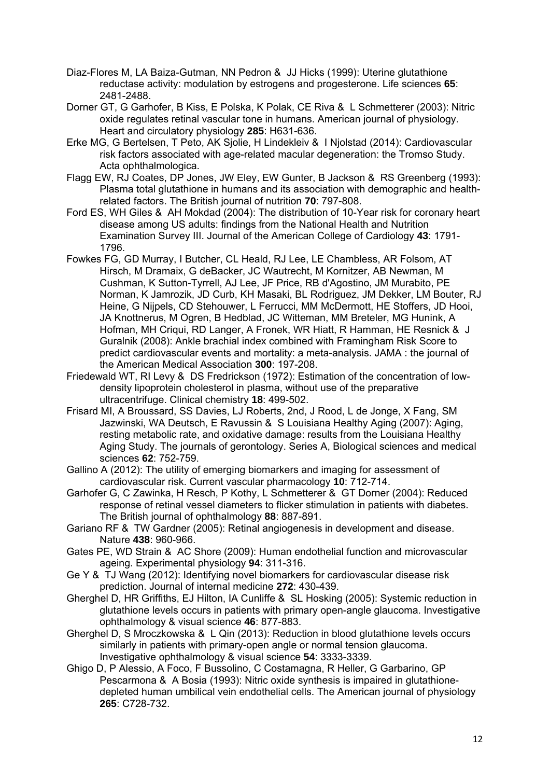- Diaz-Flores M, LA Baiza-Gutman, NN Pedron & JJ Hicks (1999): Uterine glutathione reductase activity: modulation by estrogens and progesterone. Life sciences **65**: 2481-2488.
- Dorner GT, G Garhofer, B Kiss, E Polska, K Polak, CE Riva & L Schmetterer (2003): Nitric oxide regulates retinal vascular tone in humans. American journal of physiology. Heart and circulatory physiology **285**: H631-636.
- Erke MG, G Bertelsen, T Peto, AK Sjolie, H Lindekleiv & I Njolstad (2014): Cardiovascular risk factors associated with age-related macular degeneration: the Tromso Study. Acta ophthalmologica.
- Flagg EW, RJ Coates, DP Jones, JW Eley, EW Gunter, B Jackson & RS Greenberg (1993): Plasma total glutathione in humans and its association with demographic and healthrelated factors. The British journal of nutrition **70**: 797-808.
- Ford ES, WH Giles & AH Mokdad (2004): The distribution of 10-Year risk for coronary heart disease among US adults: findings from the National Health and Nutrition Examination Survey III. Journal of the American College of Cardiology **43**: 1791- 1796.
- Fowkes FG, GD Murray, I Butcher, CL Heald, RJ Lee, LE Chambless, AR Folsom, AT Hirsch, M Dramaix, G deBacker, JC Wautrecht, M Kornitzer, AB Newman, M Cushman, K Sutton-Tyrrell, AJ Lee, JF Price, RB d'Agostino, JM Murabito, PE Norman, K Jamrozik, JD Curb, KH Masaki, BL Rodriguez, JM Dekker, LM Bouter, RJ Heine, G Nijpels, CD Stehouwer, L Ferrucci, MM McDermott, HE Stoffers, JD Hooi, JA Knottnerus, M Ogren, B Hedblad, JC Witteman, MM Breteler, MG Hunink, A Hofman, MH Criqui, RD Langer, A Fronek, WR Hiatt, R Hamman, HE Resnick & J Guralnik (2008): Ankle brachial index combined with Framingham Risk Score to predict cardiovascular events and mortality: a meta-analysis. JAMA : the journal of the American Medical Association **300**: 197-208.
- Friedewald WT, RI Levy & DS Fredrickson (1972): Estimation of the concentration of lowdensity lipoprotein cholesterol in plasma, without use of the preparative ultracentrifuge. Clinical chemistry **18**: 499-502.
- Frisard MI, A Broussard, SS Davies, LJ Roberts, 2nd, J Rood, L de Jonge, X Fang, SM Jazwinski, WA Deutsch, E Ravussin & S Louisiana Healthy Aging (2007): Aging, resting metabolic rate, and oxidative damage: results from the Louisiana Healthy Aging Study. The journals of gerontology. Series A, Biological sciences and medical sciences **62**: 752-759.
- Gallino A (2012): The utility of emerging biomarkers and imaging for assessment of cardiovascular risk. Current vascular pharmacology **10**: 712-714.
- Garhofer G, C Zawinka, H Resch, P Kothy, L Schmetterer & GT Dorner (2004): Reduced response of retinal vessel diameters to flicker stimulation in patients with diabetes. The British journal of ophthalmology **88**: 887-891.
- Gariano RF & TW Gardner (2005): Retinal angiogenesis in development and disease. Nature **438**: 960-966.
- Gates PE, WD Strain & AC Shore (2009): Human endothelial function and microvascular ageing. Experimental physiology **94**: 311-316.
- Ge Y & TJ Wang (2012): Identifying novel biomarkers for cardiovascular disease risk prediction. Journal of internal medicine **272**: 430-439.
- Gherghel D, HR Griffiths, EJ Hilton, IA Cunliffe & SL Hosking (2005): Systemic reduction in glutathione levels occurs in patients with primary open-angle glaucoma. Investigative ophthalmology & visual science **46**: 877-883.
- Gherghel D, S Mroczkowska & L Qin (2013): Reduction in blood glutathione levels occurs similarly in patients with primary-open angle or normal tension glaucoma. Investigative ophthalmology & visual science **54**: 3333-3339.
- Ghigo D, P Alessio, A Foco, F Bussolino, C Costamagna, R Heller, G Garbarino, GP Pescarmona & A Bosia (1993): Nitric oxide synthesis is impaired in glutathionedepleted human umbilical vein endothelial cells. The American journal of physiology **265**: C728-732.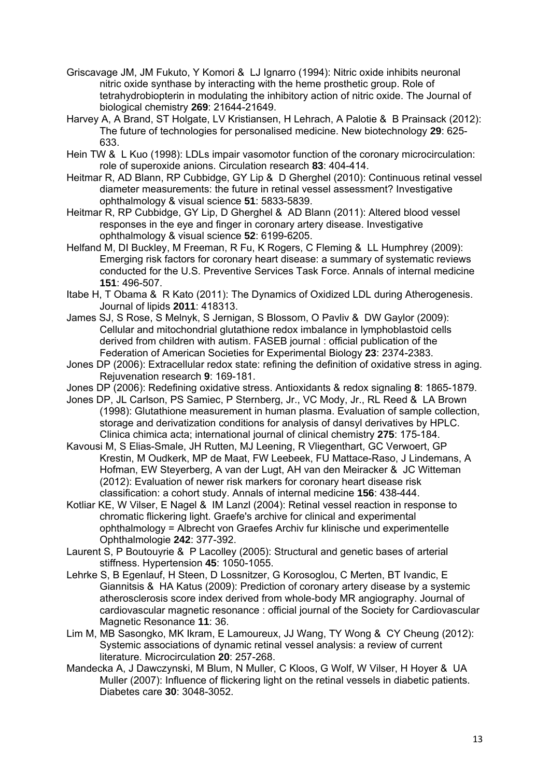- Griscavage JM, JM Fukuto, Y Komori & LJ Ignarro (1994): Nitric oxide inhibits neuronal nitric oxide synthase by interacting with the heme prosthetic group. Role of tetrahydrobiopterin in modulating the inhibitory action of nitric oxide. The Journal of biological chemistry **269**: 21644-21649.
- Harvey A, A Brand, ST Holgate, LV Kristiansen, H Lehrach, A Palotie & B Prainsack (2012): The future of technologies for personalised medicine. New biotechnology **29**: 625- 633.
- Hein TW & L Kuo (1998): LDLs impair vasomotor function of the coronary microcirculation: role of superoxide anions. Circulation research **83**: 404-414.
- Heitmar R, AD Blann, RP Cubbidge, GY Lip & D Gherghel (2010): Continuous retinal vessel diameter measurements: the future in retinal vessel assessment? Investigative ophthalmology & visual science **51**: 5833-5839.
- Heitmar R, RP Cubbidge, GY Lip, D Gherghel & AD Blann (2011): Altered blood vessel responses in the eye and finger in coronary artery disease. Investigative ophthalmology & visual science **52**: 6199-6205.
- Helfand M, DI Buckley, M Freeman, R Fu, K Rogers, C Fleming & LL Humphrey (2009): Emerging risk factors for coronary heart disease: a summary of systematic reviews conducted for the U.S. Preventive Services Task Force. Annals of internal medicine **151**: 496-507.
- Itabe H, T Obama & R Kato (2011): The Dynamics of Oxidized LDL during Atherogenesis. Journal of lipids **2011**: 418313.
- James SJ, S Rose, S Melnyk, S Jernigan, S Blossom, O Pavliv & DW Gaylor (2009): Cellular and mitochondrial glutathione redox imbalance in lymphoblastoid cells derived from children with autism. FASEB journal : official publication of the Federation of American Societies for Experimental Biology **23**: 2374-2383.
- Jones DP (2006): Extracellular redox state: refining the definition of oxidative stress in aging. Rejuvenation research **9**: 169-181.
- Jones DP (2006): Redefining oxidative stress. Antioxidants & redox signaling **8**: 1865-1879.
- Jones DP, JL Carlson, PS Samiec, P Sternberg, Jr., VC Mody, Jr., RL Reed & LA Brown (1998): Glutathione measurement in human plasma. Evaluation of sample collection, storage and derivatization conditions for analysis of dansyl derivatives by HPLC. Clinica chimica acta; international journal of clinical chemistry **275**: 175-184.
- Kavousi M, S Elias-Smale, JH Rutten, MJ Leening, R Vliegenthart, GC Verwoert, GP Krestin, M Oudkerk, MP de Maat, FW Leebeek, FU Mattace-Raso, J Lindemans, A Hofman, EW Steyerberg, A van der Lugt, AH van den Meiracker & JC Witteman (2012): Evaluation of newer risk markers for coronary heart disease risk classification: a cohort study. Annals of internal medicine **156**: 438-444.
- Kotliar KE, W Vilser, E Nagel & IM Lanzl (2004): Retinal vessel reaction in response to chromatic flickering light. Graefe's archive for clinical and experimental ophthalmology = Albrecht von Graefes Archiv fur klinische und experimentelle Ophthalmologie **242**: 377-392.
- Laurent S, P Boutouyrie & P Lacolley (2005): Structural and genetic bases of arterial stiffness. Hypertension **45**: 1050-1055.
- Lehrke S, B Egenlauf, H Steen, D Lossnitzer, G Korosoglou, C Merten, BT Ivandic, E Giannitsis & HA Katus (2009): Prediction of coronary artery disease by a systemic atherosclerosis score index derived from whole-body MR angiography. Journal of cardiovascular magnetic resonance : official journal of the Society for Cardiovascular Magnetic Resonance **11**: 36.
- Lim M, MB Sasongko, MK Ikram, E Lamoureux, JJ Wang, TY Wong & CY Cheung (2012): Systemic associations of dynamic retinal vessel analysis: a review of current literature. Microcirculation **20**: 257-268.
- Mandecka A, J Dawczynski, M Blum, N Muller, C Kloos, G Wolf, W Vilser, H Hoyer & UA Muller (2007): Influence of flickering light on the retinal vessels in diabetic patients. Diabetes care **30**: 3048-3052.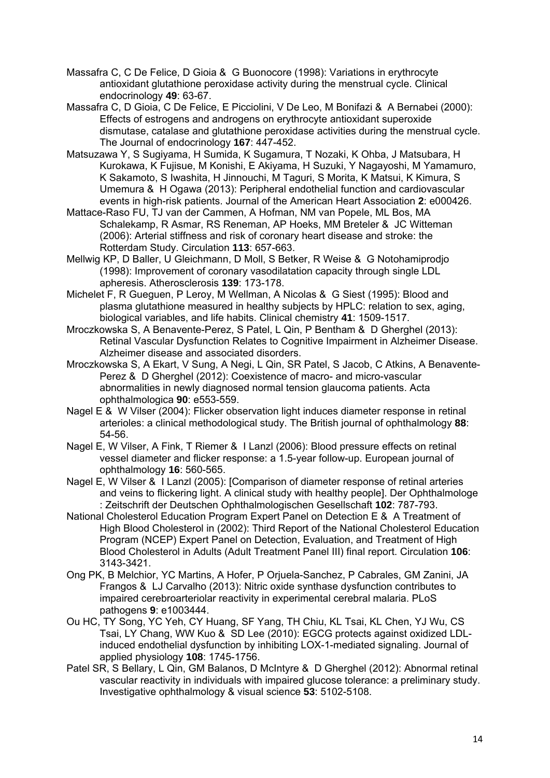- Massafra C, C De Felice, D Gioia & G Buonocore (1998): Variations in erythrocyte antioxidant glutathione peroxidase activity during the menstrual cycle. Clinical endocrinology **49**: 63-67.
- Massafra C, D Gioia, C De Felice, E Picciolini, V De Leo, M Bonifazi & A Bernabei (2000): Effects of estrogens and androgens on erythrocyte antioxidant superoxide dismutase, catalase and glutathione peroxidase activities during the menstrual cycle. The Journal of endocrinology **167**: 447-452.
- Matsuzawa Y, S Sugiyama, H Sumida, K Sugamura, T Nozaki, K Ohba, J Matsubara, H Kurokawa, K Fujisue, M Konishi, E Akiyama, H Suzuki, Y Nagayoshi, M Yamamuro, K Sakamoto, S Iwashita, H Jinnouchi, M Taguri, S Morita, K Matsui, K Kimura, S Umemura & H Ogawa (2013): Peripheral endothelial function and cardiovascular events in high-risk patients. Journal of the American Heart Association **2**: e000426.
- Mattace-Raso FU, TJ van der Cammen, A Hofman, NM van Popele, ML Bos, MA Schalekamp, R Asmar, RS Reneman, AP Hoeks, MM Breteler & JC Witteman (2006): Arterial stiffness and risk of coronary heart disease and stroke: the Rotterdam Study. Circulation **113**: 657-663.
- Mellwig KP, D Baller, U Gleichmann, D Moll, S Betker, R Weise & G Notohamiprodjo (1998): Improvement of coronary vasodilatation capacity through single LDL apheresis. Atherosclerosis **139**: 173-178.
- Michelet F, R Gueguen, P Leroy, M Wellman, A Nicolas & G Siest (1995): Blood and plasma glutathione measured in healthy subjects by HPLC: relation to sex, aging, biological variables, and life habits. Clinical chemistry **41**: 1509-1517.
- Mroczkowska S, A Benavente-Perez, S Patel, L Qin, P Bentham & D Gherghel (2013): Retinal Vascular Dysfunction Relates to Cognitive Impairment in Alzheimer Disease. Alzheimer disease and associated disorders.
- Mroczkowska S, A Ekart, V Sung, A Negi, L Qin, SR Patel, S Jacob, C Atkins, A Benavente-Perez & D Gherghel (2012): Coexistence of macro- and micro-vascular abnormalities in newly diagnosed normal tension glaucoma patients. Acta ophthalmologica **90**: e553-559.
- Nagel E & W Vilser (2004): Flicker observation light induces diameter response in retinal arterioles: a clinical methodological study. The British journal of ophthalmology **88**: 54-56.
- Nagel E, W Vilser, A Fink, T Riemer & I Lanzl (2006): Blood pressure effects on retinal vessel diameter and flicker response: a 1.5-year follow-up. European journal of ophthalmology **16**: 560-565.
- Nagel E, W Vilser & I Lanzl (2005): [Comparison of diameter response of retinal arteries and veins to flickering light. A clinical study with healthy people]. Der Ophthalmologe : Zeitschrift der Deutschen Ophthalmologischen Gesellschaft **102**: 787-793.
- National Cholesterol Education Program Expert Panel on Detection E & A Treatment of High Blood Cholesterol in (2002): Third Report of the National Cholesterol Education Program (NCEP) Expert Panel on Detection, Evaluation, and Treatment of High Blood Cholesterol in Adults (Adult Treatment Panel III) final report. Circulation **106**: 3143-3421.
- Ong PK, B Melchior, YC Martins, A Hofer, P Orjuela-Sanchez, P Cabrales, GM Zanini, JA Frangos & LJ Carvalho (2013): Nitric oxide synthase dysfunction contributes to impaired cerebroarteriolar reactivity in experimental cerebral malaria. PLoS pathogens **9**: e1003444.
- Ou HC, TY Song, YC Yeh, CY Huang, SF Yang, TH Chiu, KL Tsai, KL Chen, YJ Wu, CS Tsai, LY Chang, WW Kuo & SD Lee (2010): EGCG protects against oxidized LDLinduced endothelial dysfunction by inhibiting LOX-1-mediated signaling. Journal of applied physiology **108**: 1745-1756.
- Patel SR, S Bellary, L Qin, GM Balanos, D McIntyre & D Gherghel (2012): Abnormal retinal vascular reactivity in individuals with impaired glucose tolerance: a preliminary study. Investigative ophthalmology & visual science **53**: 5102-5108.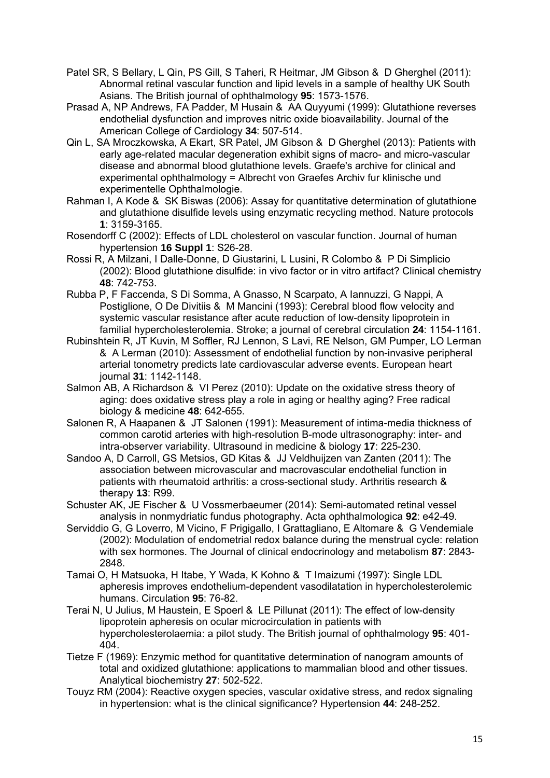- Patel SR, S Bellary, L Qin, PS Gill, S Taheri, R Heitmar, JM Gibson & D Gherghel (2011): Abnormal retinal vascular function and lipid levels in a sample of healthy UK South Asians. The British journal of ophthalmology **95**: 1573-1576.
- Prasad A, NP Andrews, FA Padder, M Husain & AA Quyyumi (1999): Glutathione reverses endothelial dysfunction and improves nitric oxide bioavailability. Journal of the American College of Cardiology **34**: 507-514.
- Qin L, SA Mroczkowska, A Ekart, SR Patel, JM Gibson & D Gherghel (2013): Patients with early age-related macular degeneration exhibit signs of macro- and micro-vascular disease and abnormal blood glutathione levels. Graefe's archive for clinical and experimental ophthalmology = Albrecht von Graefes Archiv fur klinische und experimentelle Ophthalmologie.
- Rahman I, A Kode & SK Biswas (2006): Assay for quantitative determination of glutathione and glutathione disulfide levels using enzymatic recycling method. Nature protocols **1**: 3159-3165.
- Rosendorff C (2002): Effects of LDL cholesterol on vascular function. Journal of human hypertension **16 Suppl 1**: S26-28.
- Rossi R, A Milzani, I Dalle-Donne, D Giustarini, L Lusini, R Colombo & P Di Simplicio (2002): Blood glutathione disulfide: in vivo factor or in vitro artifact? Clinical chemistry **48**: 742-753.
- Rubba P, F Faccenda, S Di Somma, A Gnasso, N Scarpato, A Iannuzzi, G Nappi, A Postiglione, O De Divitiis & M Mancini (1993): Cerebral blood flow velocity and systemic vascular resistance after acute reduction of low-density lipoprotein in familial hypercholesterolemia. Stroke; a journal of cerebral circulation **24**: 1154-1161.
- Rubinshtein R, JT Kuvin, M Soffler, RJ Lennon, S Lavi, RE Nelson, GM Pumper, LO Lerman & A Lerman (2010): Assessment of endothelial function by non-invasive peripheral arterial tonometry predicts late cardiovascular adverse events. European heart journal **31**: 1142-1148.
- Salmon AB, A Richardson & VI Perez (2010): Update on the oxidative stress theory of aging: does oxidative stress play a role in aging or healthy aging? Free radical biology & medicine **48**: 642-655.
- Salonen R, A Haapanen & JT Salonen (1991): Measurement of intima-media thickness of common carotid arteries with high-resolution B-mode ultrasonography: inter- and intra-observer variability. Ultrasound in medicine & biology **17**: 225-230.
- Sandoo A, D Carroll, GS Metsios, GD Kitas & JJ Veldhuijzen van Zanten (2011): The association between microvascular and macrovascular endothelial function in patients with rheumatoid arthritis: a cross-sectional study. Arthritis research & therapy **13**: R99.
- Schuster AK, JE Fischer & U Vossmerbaeumer (2014): Semi-automated retinal vessel analysis in nonmydriatic fundus photography. Acta ophthalmologica **92**: e42-49.
- Serviddio G, G Loverro, M Vicino, F Prigigallo, I Grattagliano, E Altomare & G Vendemiale (2002): Modulation of endometrial redox balance during the menstrual cycle: relation with sex hormones. The Journal of clinical endocrinology and metabolism **87**: 2843- 2848.
- Tamai O, H Matsuoka, H Itabe, Y Wada, K Kohno & T Imaizumi (1997): Single LDL apheresis improves endothelium-dependent vasodilatation in hypercholesterolemic humans. Circulation **95**: 76-82.
- Terai N, U Julius, M Haustein, E Spoerl & LE Pillunat (2011): The effect of low-density lipoprotein apheresis on ocular microcirculation in patients with hypercholesterolaemia: a pilot study. The British journal of ophthalmology **95**: 401-  $404.$
- Tietze F (1969): Enzymic method for quantitative determination of nanogram amounts of total and oxidized glutathione: applications to mammalian blood and other tissues. Analytical biochemistry **27**: 502-522.
- Touyz RM (2004): Reactive oxygen species, vascular oxidative stress, and redox signaling in hypertension: what is the clinical significance? Hypertension **44**: 248-252.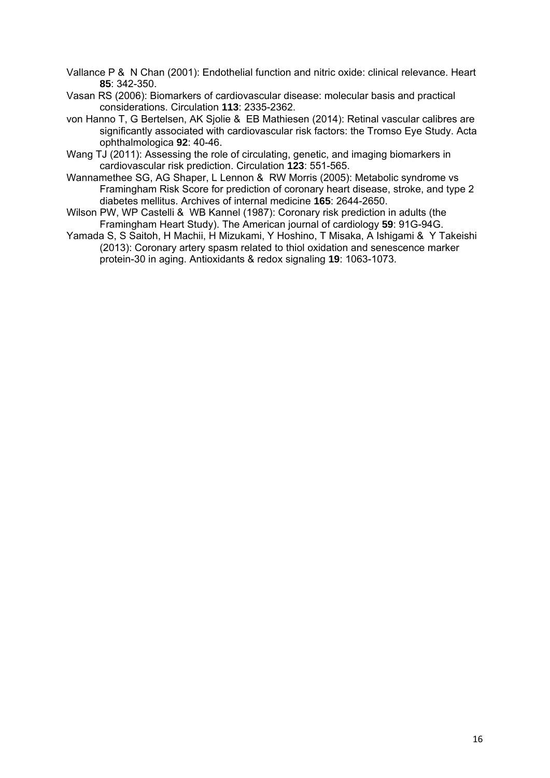Vallance P & N Chan (2001): Endothelial function and nitric oxide: clinical relevance. Heart **85**: 342-350.

- Vasan RS (2006): Biomarkers of cardiovascular disease: molecular basis and practical considerations. Circulation **113**: 2335-2362.
- von Hanno T, G Bertelsen, AK Sjolie & EB Mathiesen (2014): Retinal vascular calibres are significantly associated with cardiovascular risk factors: the Tromso Eye Study. Acta ophthalmologica **92**: 40-46.
- Wang TJ (2011): Assessing the role of circulating, genetic, and imaging biomarkers in cardiovascular risk prediction. Circulation **123**: 551-565.
- Wannamethee SG, AG Shaper, L Lennon & RW Morris (2005): Metabolic syndrome vs Framingham Risk Score for prediction of coronary heart disease, stroke, and type 2 diabetes mellitus. Archives of internal medicine **165**: 2644-2650.
- Wilson PW, WP Castelli & WB Kannel (1987): Coronary risk prediction in adults (the Framingham Heart Study). The American journal of cardiology **59**: 91G-94G.
- Yamada S, S Saitoh, H Machii, H Mizukami, Y Hoshino, T Misaka, A Ishigami & Y Takeishi (2013): Coronary artery spasm related to thiol oxidation and senescence marker protein-30 in aging. Antioxidants & redox signaling **19**: 1063-1073.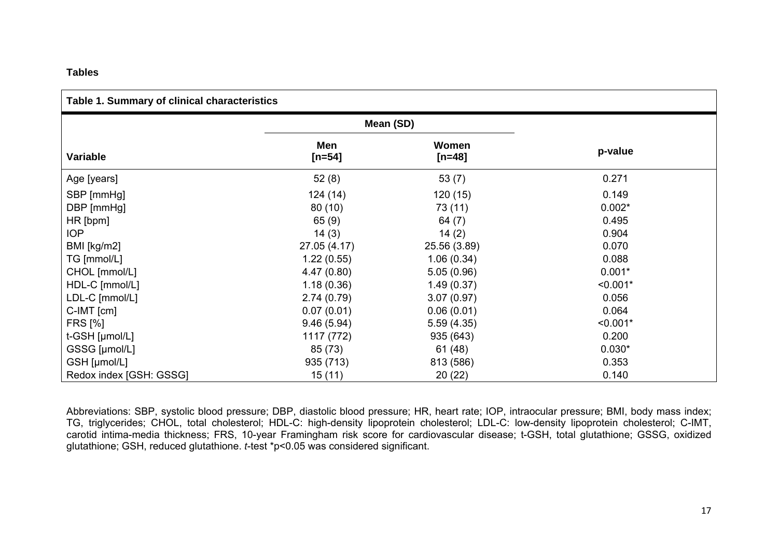#### **Tables**

|  | Table 1. Summary of clinical characteristics |
|--|----------------------------------------------|
|--|----------------------------------------------|

|                         | Mean (SD)       |                   |            |
|-------------------------|-----------------|-------------------|------------|
|                         |                 |                   |            |
| <b>Variable</b>         | Men<br>$[n=54]$ | Women<br>$[n=48]$ | p-value    |
| Age [years]             | 52(8)           | 53(7)             | 0.271      |
| SBP [mmHg]              | 124(14)         | 120(15)           | 0.149      |
| DBP [mmHg]              | 80(10)          | 73 (11)           | $0.002*$   |
| HR[bpm]                 | 65(9)           | 64 $(7)$          | 0.495      |
| IOP                     | 14(3)           | 14(2)             | 0.904      |
| BMI [kg/m2]             | 27.05 (4.17)    | 25.56 (3.89)      | 0.070      |
| TG [mmol/L]             | 1.22(0.55)      | 1.06(0.34)        | 0.088      |
| CHOL [mmol/L]           | 4.47(0.80)      | 5.05(0.96)        | $0.001*$   |
| HDL-C [mmol/L]          | 1.18(0.36)      | 1.49(0.37)        | $< 0.001*$ |
| LDL-C [mmol/L]          | 2.74(0.79)      | 3.07(0.97)        | 0.056      |
| $C$ -IMT $[cm]$         | 0.07(0.01)      | 0.06(0.01)        | 0.064      |
| <b>FRS [%]</b>          | 9.46(5.94)      | 5.59(4.35)        | $< 0.001*$ |
| t-GSH [µmol/L]          | 1117 (772)      | 935 (643)         | 0.200      |
| GSSG [µmol/L]           | 85 (73)         | 61(48)            | $0.030*$   |
| GSH [µmol/L]            | 935 (713)       | 813 (586)         | 0.353      |
| Redox index [GSH: GSSG] | 15(11)          | 20(22)            | 0.140      |

Abbreviations: SBP, systolic blood pressure; DBP, diastolic blood pressure; HR, heart rate; IOP, intraocular pressure; BMI, body mass index; TG, triglycerides; CHOL, total cholesterol; HDL-C: high-density lipoprotein cholesterol; LDL-C: low-density lipoprotein cholesterol; C-IMT, carotid intima-media thickness; FRS, 10-year Framingham risk score for cardiovascular disease; t-GSH, total glutathione; GSSG, oxidized glutathione; GSH, reduced glutathione. *t*-test \*p<0.05 was considered significant.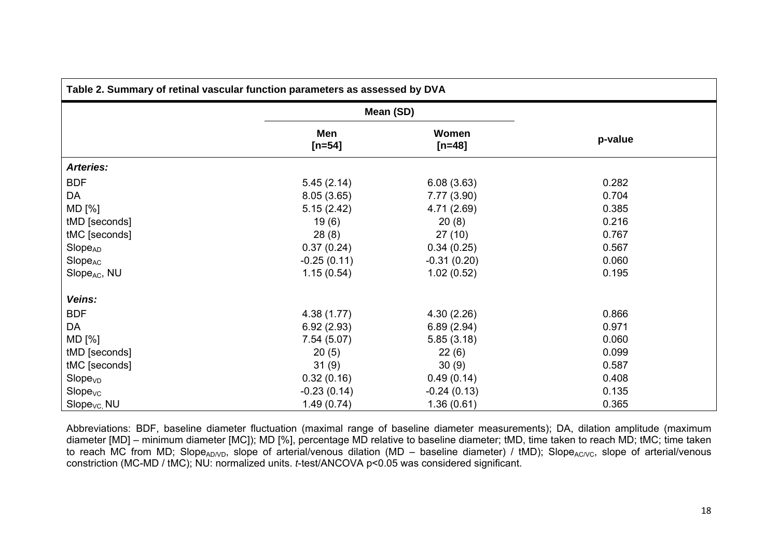| Table 2. Summary of retinal vascular function parameters as assessed by DVA |                   |                   |         |  |
|-----------------------------------------------------------------------------|-------------------|-------------------|---------|--|
|                                                                             | Mean (SD)         |                   |         |  |
|                                                                             | Men<br>[ $n=54$ ] | Women<br>$[n=48]$ | p-value |  |
| <b>Arteries:</b>                                                            |                   |                   |         |  |
| <b>BDF</b>                                                                  | 5.45(2.14)        | 6.08(3.63)        | 0.282   |  |
| DA                                                                          | 8.05(3.65)        | 7.77(3.90)        | 0.704   |  |
| MD [%]                                                                      | 5.15(2.42)        | 4.71 (2.69)       | 0.385   |  |
| tMD [seconds]                                                               | 19(6)             | 20(8)             | 0.216   |  |
| tMC [seconds]                                                               | 28(8)             | 27(10)            | 0.767   |  |
| Slope <sub>AD</sub>                                                         | 0.37(0.24)        | 0.34(0.25)        | 0.567   |  |
| Slope <sub>AC</sub>                                                         | $-0.25(0.11)$     | $-0.31(0.20)$     | 0.060   |  |
| Slope <sub>AC</sub> , NU                                                    | 1.15(0.54)        | 1.02(0.52)        | 0.195   |  |
| Veins:                                                                      |                   |                   |         |  |
| <b>BDF</b>                                                                  | 4.38(1.77)        | 4.30(2.26)        | 0.866   |  |
| DA                                                                          | 6.92(2.93)        | 6.89(2.94)        | 0.971   |  |
| MD [%]                                                                      | 7.54(5.07)        | 5.85(3.18)        | 0.060   |  |
| tMD [seconds]                                                               | 20(5)             | 22(6)             | 0.099   |  |
| tMC [seconds]                                                               | 31(9)             | 30(9)             | 0.587   |  |
| Slope <sub>VD</sub>                                                         | 0.32(0.16)        | 0.49(0.14)        | 0.408   |  |
| Slope <sub>VC</sub>                                                         | $-0.23(0.14)$     | $-0.24(0.13)$     | 0.135   |  |
| Slope <sub>VC,</sub> NU                                                     | 1.49(0.74)        | 1.36(0.61)        | 0.365   |  |

Abbreviations: BDF, baseline diameter fluctuation (maximal range of baseline diameter measurements); DA, dilation amplitude (maximum diameter [MD] – minimum diameter [MC]); MD [%], percentage MD relative to baseline diameter; tMD, time taken to reach MD; tMC; time taken to reach MC from MD; Slope<sub>AD/VD</sub>, slope of arterial/venous dilation (MD – baseline diameter) / tMD); Slope<sub>AC/VC</sub>, slope of arterial/venous constriction (MC-MD / tMC); NU: normalized units. *t*-test/ANCOVA p<0.05 was considered significant.